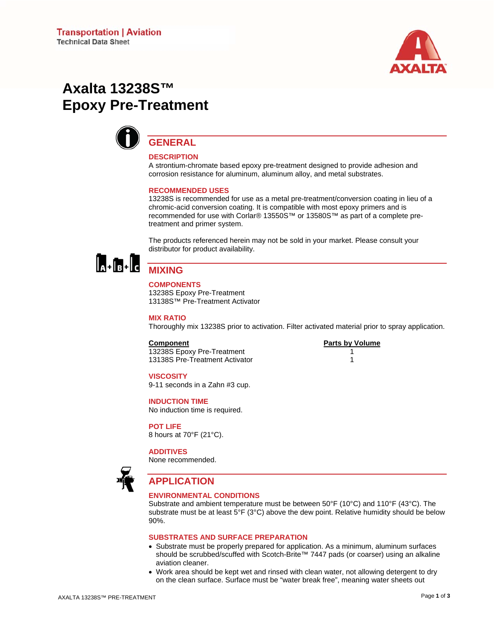

# **Axalta 13238S™ Epoxy Pre-Treatment**



# **GENERAL**

#### **DESCRIPTION**

A strontium-chromate based epoxy pre-treatment designed to provide adhesion and corrosion resistance for aluminum, aluminum alloy, and metal substrates.

#### **RECOMMENDED USES**

13238S is recommended for use as a metal pre-treatment/conversion coating in lieu of a chromic-acid conversion coating. It is compatible with most epoxy primers and is recommended for use with Corlar® 13550S™ or 13580S™ as part of a complete pretreatment and primer system.

The products referenced herein may not be sold in your market. Please consult your distributor for product availability.



# **MIXING**

#### **COMPONENTS**  13238S Epoxy Pre-Treatment 13138S™ Pre-Treatment Activator

**MIX RATIO** 

Thoroughly mix 13238S prior to activation. Filter activated material prior to spray application.

#### **Component Parts by Volume**

13238S Epoxy Pre-Treatment 1 13138S Pre-Treatment Activator 1

#### **VISCOSITY**

9-11 seconds in a Zahn #3 cup.

#### **INDUCTION TIME**

No induction time is required.

**POT LIFE**  8 hours at 70°F (21°C).

#### **ADDITIVES**

None recommended.



# **APPLICATION**

#### **ENVIRONMENTAL CONDITIONS**

Substrate and ambient temperature must be between 50°F (10°C) and 110°F (43°C). The substrate must be at least 5°F (3°C) above the dew point. Relative humidity should be below 90%.

#### **SUBSTRATES AND SURFACE PREPARATION**

- Substrate must be properly prepared for application. As a minimum, aluminum surfaces should be scrubbed/scuffed with Scotch-Brite™ 7447 pads (or coarser) using an alkaline aviation cleaner.
- Work area should be kept wet and rinsed with clean water, not allowing detergent to dry on the clean surface. Surface must be "water break free", meaning water sheets out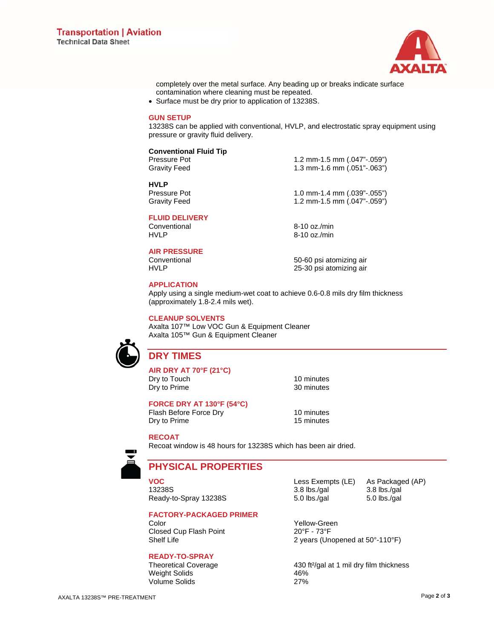

completely over the metal surface. Any beading up or breaks indicate surface contamination where cleaning must be repeated.

• Surface must be dry prior to application of 13238S.

#### **GUN SETUP**

13238S can be applied with conventional, HVLP, and electrostatic spray equipment using pressure or gravity fluid delivery.

#### **Conventional Fluid Tip**

Pressure Pot 1.2 mm-1.5 mm (.047"-.059")<br>Gravity Feed 1.3 mm-1.6 mm (.051"-.063")

**HVLP** 

1.3 mm-1.6 mm (.051"-.063")

1.0 mm-1.4 mm (.039"-.055") Gravity Feed 1.2 mm-1.5 mm (.047"-.059")

**FLUID DELIVERY** 

#### **AIR PRESSURE**

Conventional 6-10 oz./min<br>
HVLP 8-10 oz./min  $8-10$  oz./min

Conventional 50-60 psi atomizing air HVLP 25-30 psi atomizing air

#### **APPLICATION**

Apply using a single medium-wet coat to achieve 0.6-0.8 mils dry film thickness (approximately 1.8-2.4 mils wet).

#### **CLEANUP SOLVENTS**

Axalta 107™ Low VOC Gun & Equipment Cleaner Axalta 105™ Gun & Equipment Cleaner



# **DRY TIMES**

**AIR DRY AT 70°F (21°C)**  Dry to Touch 10 minutes Dry to Prime 30 minutes

**FORCE DRY AT 130°F (54°C)** 

Flash Before Force Dry 10 minutes<br>
Dry to Prime 15 minutes Dry to Prime

#### **RECOAT**

Recoat window is 48 hours for 13238S which has been air dried.



# **PHYSICAL PROPERTIES**

**VOC** Less Exempts (LE) As Packaged (AP) 13238S 3.8 lbs./gal 3.8 lbs./gal Ready-to-Spray 13238S 5.0 lbs./gal 5.0 lbs./gal

#### **FACTORY-PACKAGED PRIMER**

Color Color Vellow-Green<br>Closed Cup Flash Point 20°F - 73°F Closed Cup Flash Point

#### **READY-TO-SPRAY**

Weight Solids 46% Volume Solids 27%

Shelf Life 2 years (Unopened at 50°-110°F)

Theoretical Coverage 430 ft²/gal at 1 mil dry film thickness